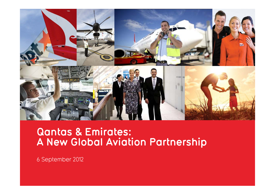

# **Qantas & Emirates: A New Global Aviation Partnership**

6 September 2012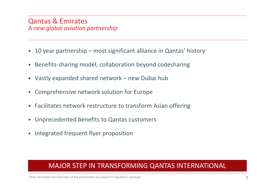### Qantas & Emirates *A new global aviation partnership*

- $\bullet$ 10 year partnership – most significant alliance in Qantas' history
- $\bullet$ Benefits‐sharing model, collaboration beyond codesharing
- Vastly expanded shared network new Dubai hub
- $\bullet$ Comprehensive network solution for Europe
- $\bullet$ Facilitates network restructure to transform Asian offering
- $\bullet$ Unprecedented benefits to Qantas customers
- $\bullet$ Integrated frequent flyer proposition

## MAJOR STEP IN TRANSFORMING QANTAS INTERNATIONAL

Note: All stated characteristics of the partnership are subject to regulatory approval.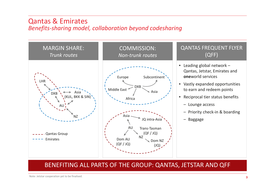#### Qantas & Emirates *Benefits‐sharing model, collaboration beyond codesharing*



#### BENEFITING ALL PARTS OF THE GROUP: QANTAS, JETSTAR AND QFF

Note: Jetstar cooperation yet to be finalised.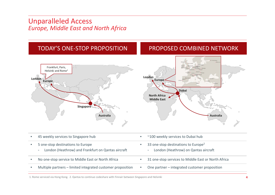### Unparalleled Access *Europe, Middle East and North Africa*



1. Rome serviced via Hong Kong. 2. Qantasto continue codeshare with Finnair between Singapore and Helsinki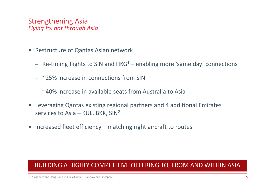## Strengthening Asia *Flying to, not through Asia*

- Restructure of Qantas Asian network
	- Re-timing flights to SIN and HKG $^1$  enabling more 'same day' connections
	- ~25% increase in connections from SIN
	- ~40% increase in available seats from Australia to Asia
- Leveraging Qantas existing regional partners and 4 additional Emirates services to Asia – KUL, BKK, SIN<sup>2</sup>
- Increased fleet efficiency matching right aircraft to routes

## BUILDING A HIGHLY COMPETITIVE OFFERING TO, FROM AND WITHIN ASIA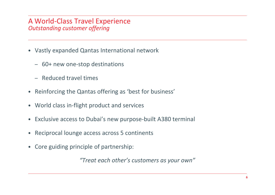## A World‐Class Travel Experience *Outstanding customer offering*

- Vastly expanded Qantas International network
	- 60+ new one‐stop destinations
	- Reduced travel times
- Reinforcing the Qantas offering as 'best for business'
- World class in-flight product and services
- Exclusive access to Dubai's new purpose‐built A380 terminal
- Reciprocal lounge access across 5 continents
- Core guiding principle of partnership:

*"Treat each other's customers as your own"*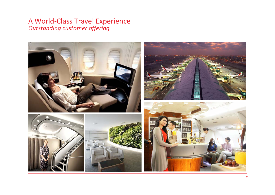## A World ‐Class Travel Experience *Outstanding customer offering*

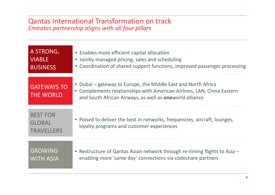#### Qantas International Transformation on track *Emirates partnership aligns with all four pillars*

| A STRONG,                                             | • Enables more efficient capital allocation                                                                                                                                                                |
|-------------------------------------------------------|------------------------------------------------------------------------------------------------------------------------------------------------------------------------------------------------------------|
| <b>VIABLE</b>                                         | • Jointly managed pricing, sales and scheduling                                                                                                                                                            |
| <b>BUSINESS</b>                                       | • Coordination of shared support functions, improved passenger processing                                                                                                                                  |
| <b>GATEWAYS TO</b><br><b>THE WORLD</b>                | • Dubai – gateway to Europe, the Middle East and North Africa<br>• Complements relationships with American Airlines, LAN, China Eastern<br>and South African Airways, as well as <b>one</b> world alliance |
| <b>BEST FOR</b><br><b>GLOBAL</b><br><b>TRAVELLERS</b> | • Poised to deliver the best in networks, frequencies, aircraft, lounges,<br>loyalty programs and customer experiences                                                                                     |
| <b>GROWING</b>                                        | • Restructure of Qantas Asian network through re-timing flights to Asia –                                                                                                                                  |
| <b>WITH ASIA</b>                                      | enabling more 'same day' connections via codeshare partners                                                                                                                                                |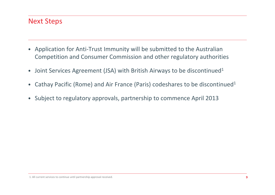## Next Steps

- • Application for Anti‐Trust Immunity will be submitted to the Australian Competition and Consumer Commission and other regulatory authorities
- •Joint Services Agreement (JSA) with British Airways to be discontinued<sup>1</sup>
- $\bullet$ Cathay Pacific (Rome) and Air France (Paris) codeshares to be discontinued<sup>1</sup>
- Subject to regulatory approvals, partnership to commence April 2013